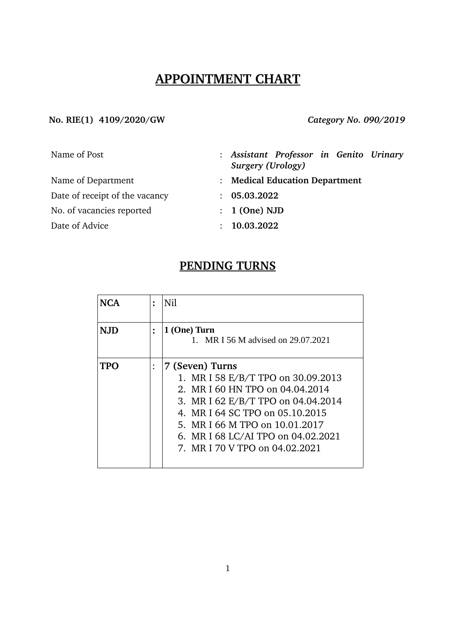# **APPOINTMENT CHART**

### **No. RIE(1) 4109/2020/GW** *Category No. 090/2019*

| Name of Post                   | : Assistant Professor in Genito Urinary<br>Surgery (Urology) |
|--------------------------------|--------------------------------------------------------------|
| Name of Department             | : Medical Education Department                               |
| Date of receipt of the vacancy | : 05.03.2022                                                 |
| No. of vacancies reported      | $: 1$ (One) NJD                                              |
| Date of Advice                 | 10.03.2022                                                   |

# **PENDING TURNS**

| <b>NCA</b> | $\ddot{\cdot}$ | Nil                                                                                                                                                                                                                                                                         |
|------------|----------------|-----------------------------------------------------------------------------------------------------------------------------------------------------------------------------------------------------------------------------------------------------------------------------|
| <b>NJD</b> |                | 1 (One) Turn<br>1. MR I 56 M advised on 29.07.2021                                                                                                                                                                                                                          |
| TPO        |                | 7 (Seven) Turns<br>1. MR I 58 E/B/T TPO on 30.09.2013<br>2. MR I 60 HN TPO on 04.04.2014<br>3. MR I 62 E/B/T TPO on 04.04.2014<br>4. MR I 64 SC TPO on 05.10.2015<br>5. MR I 66 M TPO on 10.01.2017<br>6. MR I 68 LC/AI TPO on 04.02.2021<br>7. MR I 70 V TPO on 04.02.2021 |